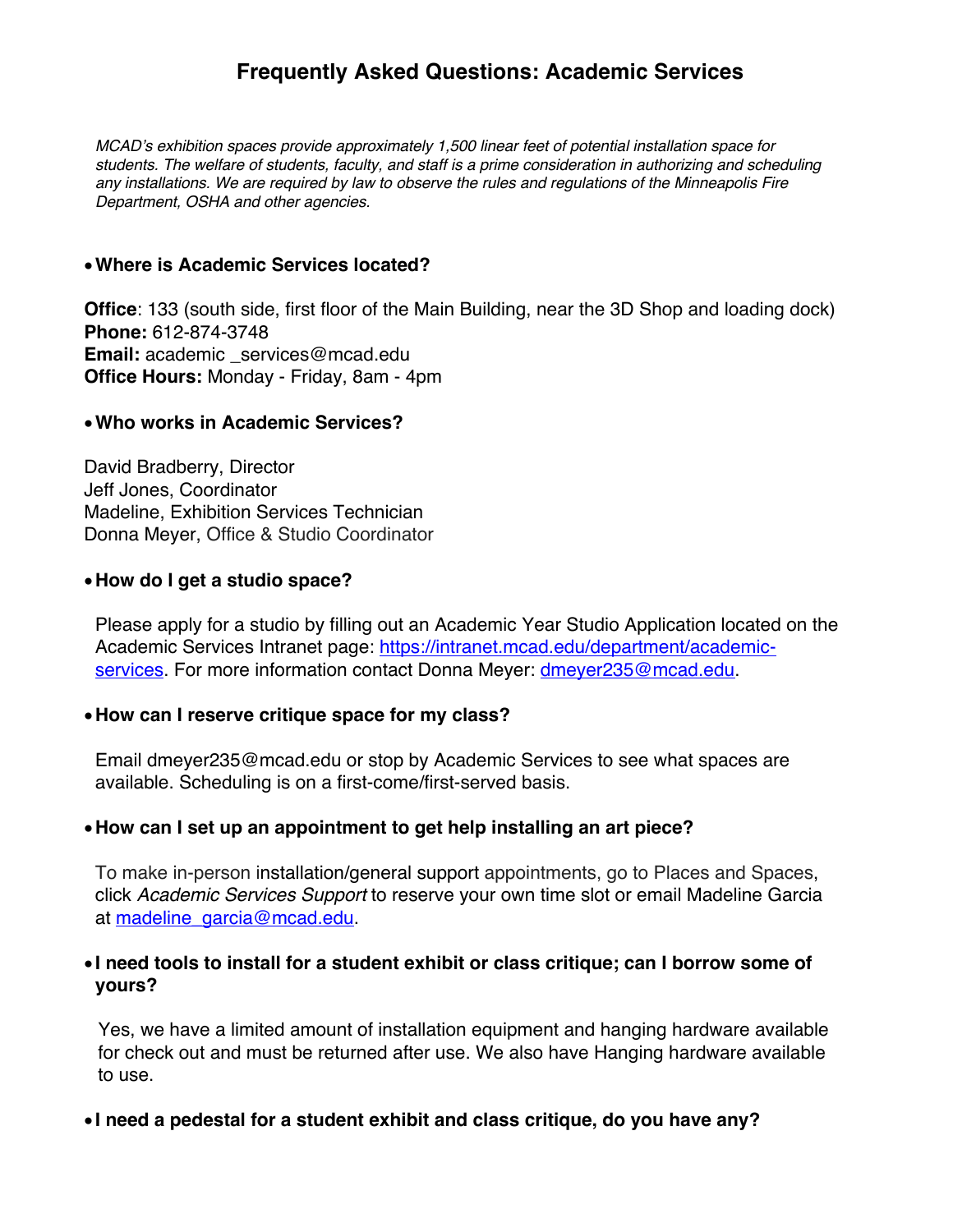# **Frequently Asked Questions: Academic Services**

*MCAD's exhibition spaces provide approximately 1,500 linear feet of potential installation space for students. The welfare of students, faculty, and staff is a prime consideration in authorizing and scheduling any installations. We are required by law to observe the rules and regulations of the Minneapolis Fire Department, OSHA and other agencies.*

#### •**Where is Academic Services located?**

**Office**: 133 (south side, first floor of the Main Building, near the 3D Shop and loading dock) **Phone:** 612-874-3748 Email: academic services@mcad.edu **Office Hours:** Monday - Friday, 8am - 4pm

#### •**Who works in Academic Services?**

David Bradberry, Director Jeff Jones, Coordinator Madeline, Exhibition Services Technician Donna Meyer, Office & Studio Coordinator

#### •**How do I get a studio space?**

Please apply for a studio by filling out an Academic Year Studio Application located on the Academic Services Intranet page: https://intranet.mcad.edu/department/academicservices. For more information contact Donna Meyer: dmeyer235@mcad.edu.

### •**How can I reserve critique space for my class?**

Email dmeyer235@mcad.edu or stop by Academic Services to see what spaces are available. Scheduling is on a first-come/first-served basis.

### •**How can I set up an appointment to get help installing an art piece?**

To make in-person installation/general support appointments, go to Places and Spaces, click *Academic Services Support* to reserve your own time slot or email Madeline Garcia at madeline\_garcia@mcad.edu.

## • **I need tools to install for a student exhibit or class critique; can I borrow some of yours?**

Yes, we have a limited amount of installation equipment and hanging hardware available for check out and must be returned after use. We also have Hanging hardware available to use.

### • **I need a pedestal for a student exhibit and class critique, do you have any?**